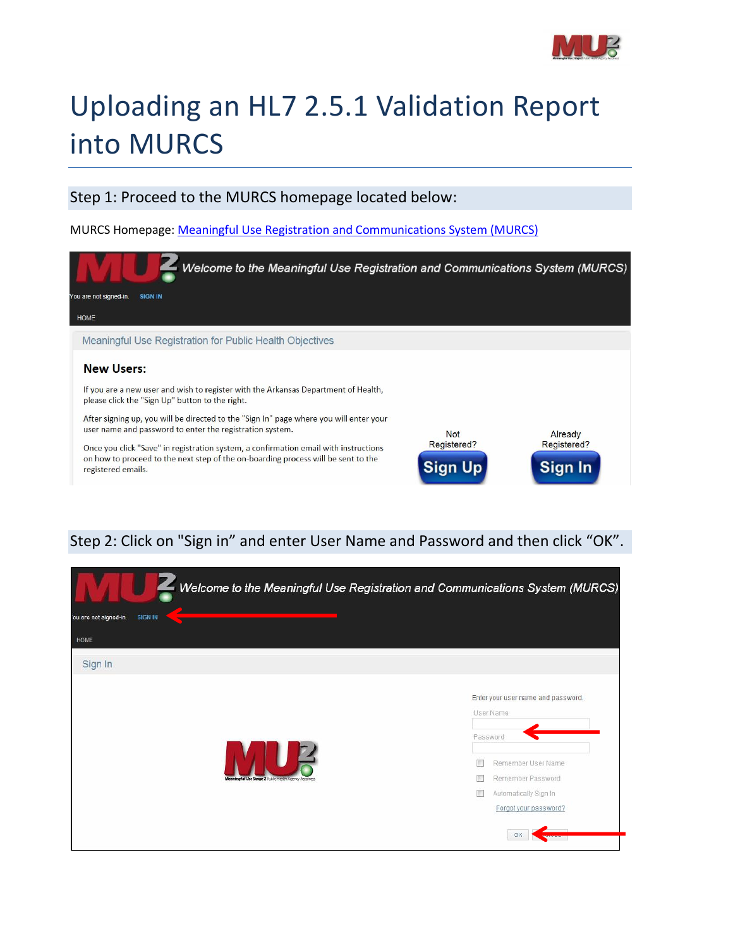

# Uploading an HL7 2.5.1 Validation Report into MURCS

### Step 1: Proceed to the MURCS homepage located below:

MURCS Homepage: [Meaningful Use Registration and Communications System \(MURCS\)](https://adhmurcs.arkansas.gov/MeaningfulUse/RegistrationContent/ShowRegistrationContentHome.aspx)



## Step 2: Click on "Sign in" and enter User Name and Password and then click "OK".

| Welcome to the Meaningful Use Registration and Communications System (MURCS) |                                                                                                     |
|------------------------------------------------------------------------------|-----------------------------------------------------------------------------------------------------|
| 'ou are not signed-in.<br><b>SIGN IN</b>                                     |                                                                                                     |
| HOME                                                                         |                                                                                                     |
| Sign In                                                                      |                                                                                                     |
|                                                                              | Enter your user name and password.<br>User Name<br>Password                                         |
| Meaningful Use Stage 2 Public Health Agency Resciness                        | Remember User Name<br>m<br>Remember Password<br>m<br>Automatically Sign In<br>Forgot your password? |
|                                                                              | OK                                                                                                  |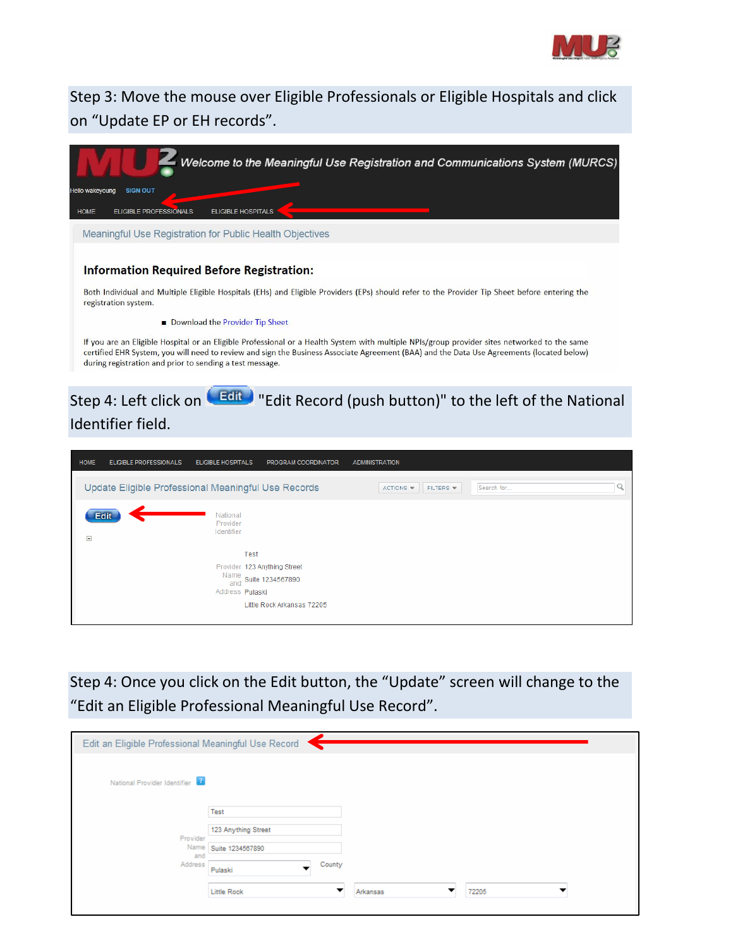

Step 3: Move the mouse over Eligible Professionals or Eligible Hospitals and click on "Update EP or EH records".

|                        | Welcome to the Meaningful Use Registration and Communications System (MURCS)                                                                                                                                                                                                                                                                          |
|------------------------|-------------------------------------------------------------------------------------------------------------------------------------------------------------------------------------------------------------------------------------------------------------------------------------------------------------------------------------------------------|
| <b>Hello wakeyoung</b> | <b>SIGN OUT</b>                                                                                                                                                                                                                                                                                                                                       |
| HOME                   | FLIGIBLE PROFESSIONALS<br>FLIGIBLE HOSPITALS                                                                                                                                                                                                                                                                                                          |
|                        | Meaningful Use Registration for Public Health Objectives                                                                                                                                                                                                                                                                                              |
|                        |                                                                                                                                                                                                                                                                                                                                                       |
|                        | <b>Information Required Before Registration:</b>                                                                                                                                                                                                                                                                                                      |
|                        | Both Individual and Multiple Eligible Hospitals (EHs) and Eligible Providers (EPs) should refer to the Provider Tip Sheet before entering the<br>registration system.                                                                                                                                                                                 |
|                        | Download the Provider Tip Sheet                                                                                                                                                                                                                                                                                                                       |
|                        | If you are an Eligible Hospital or an Eligible Professional or a Health System with multiple NPIs/group provider sites networked to the same<br>certified EHR System, you will need to review and sign the Business Associate Agreement (BAA) and the Data Use Agreements (located below)<br>during registration and prior to sending a test message. |

# Step 4: Left click on **Edite** "Edit Record (push button)" to the left of the National Identifier field.

| <b>HOME</b> | <b>ELIGIBLE PROFESSIONALS</b>                       | <b>ELIGIBLE HOSPITALS</b>                               | PROGRAM COORDINATOR                                        | <b>ADMINISTRATION</b>            |            |  |
|-------------|-----------------------------------------------------|---------------------------------------------------------|------------------------------------------------------------|----------------------------------|------------|--|
|             | Update Eligible Professional Meaningful Use Records |                                                         |                                                            | FILTERS $\mathbf$<br>$ACTIONS =$ | Search for |  |
| $\Box$      | <b>Edit</b>                                         | National<br>Provider<br>Identifier                      |                                                            |                                  |            |  |
|             |                                                     | Test<br>Provider 123 Anything Street<br>Address Pulaski | Name<br>and Suite 1234567890<br>Little Rock Arkansas 72205 |                                  |            |  |

Step 4: Once you click on the Edit button, the "Update" screen will change to the "Edit an Eligible Professional Meaningful Use Record".

| Edit an Eligible Professional Meaningful Use Record |                        |          |       |  |
|-----------------------------------------------------|------------------------|----------|-------|--|
| National Provider Identifier                        |                        |          |       |  |
|                                                     | Test                   |          |       |  |
| Provider                                            | 123 Anything Street    |          |       |  |
| Name<br>and                                         | Suite 1234567890       |          |       |  |
| Address                                             | County<br>▼<br>Pulaski |          |       |  |
|                                                     | Little Rock            | Arkansas | 72205 |  |
|                                                     |                        |          |       |  |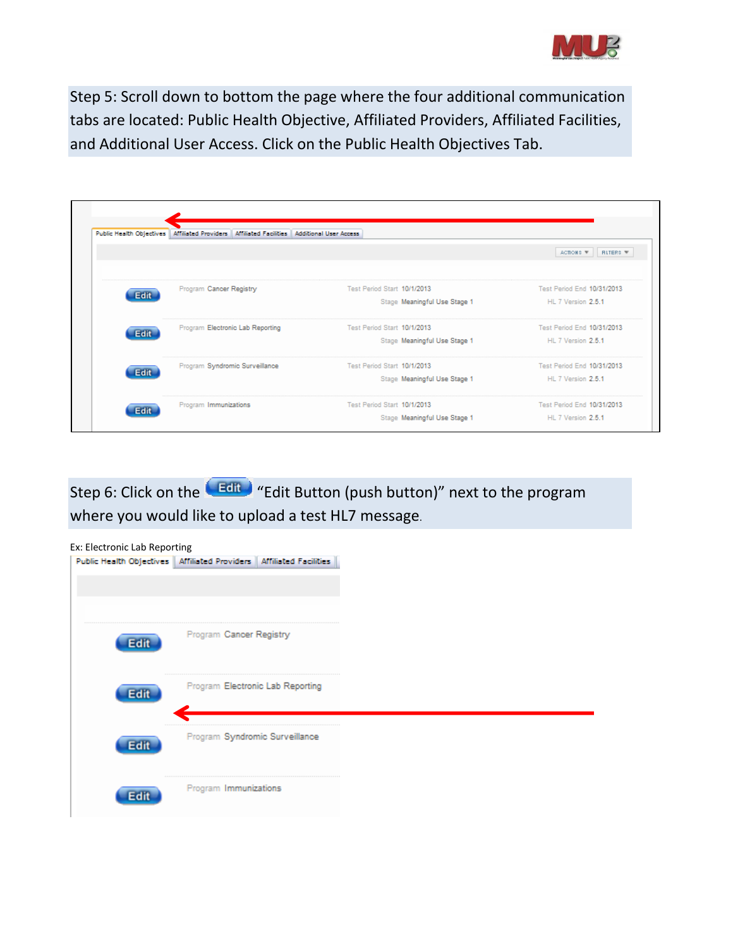

Step 5: Scroll down to bottom the page where the four additional communication tabs are located: Public Health Objective, Affiliated Providers, Affiliated Facilities, and Additional User Access. Click on the Public Health Objectives Tab.

|             | Public Health Objectives   Affiliated Providers   Affiliated Facilities   Additional User Access |                              |                              |
|-------------|--------------------------------------------------------------------------------------------------|------------------------------|------------------------------|
|             |                                                                                                  |                              | ACTIONS W<br><b>RITERS W</b> |
| <b>Edit</b> | Program Cancer Registry                                                                          | Test Period Start 10/1/2013  | Test Period End 10/31/2013   |
|             |                                                                                                  | Stage Meaningful Use Stage 1 | HL 7 Version 2.5.1           |
| Edit        | Program Electronic Lab Reporting                                                                 | Test Period Start 10/1/2013  | Test Period End 10/31/2013   |
|             |                                                                                                  | Stage Meaningful Use Stage 1 | HL 7 Version 2.5.1           |
| <b>Edit</b> | Program Syndromic Surveillance                                                                   | Test Period Start 10/1/2013  | Test Period End 10/31/2013   |
|             |                                                                                                  | Stage Meaningful Use Stage 1 | HL 7 Version 2.5.1           |
|             | Program Immunizations                                                                            | Test Period Start 10/1/2013  | Test Period End 10/31/2013   |
| <b>Edit</b> |                                                                                                  | Stage Meaningful Use Stage 1 | HL 7 Version 2.5.1           |

Step 6: Click on the **Edit of the "Edit Button (push button)**" next to the program where you would like to upload a test HL7 message.

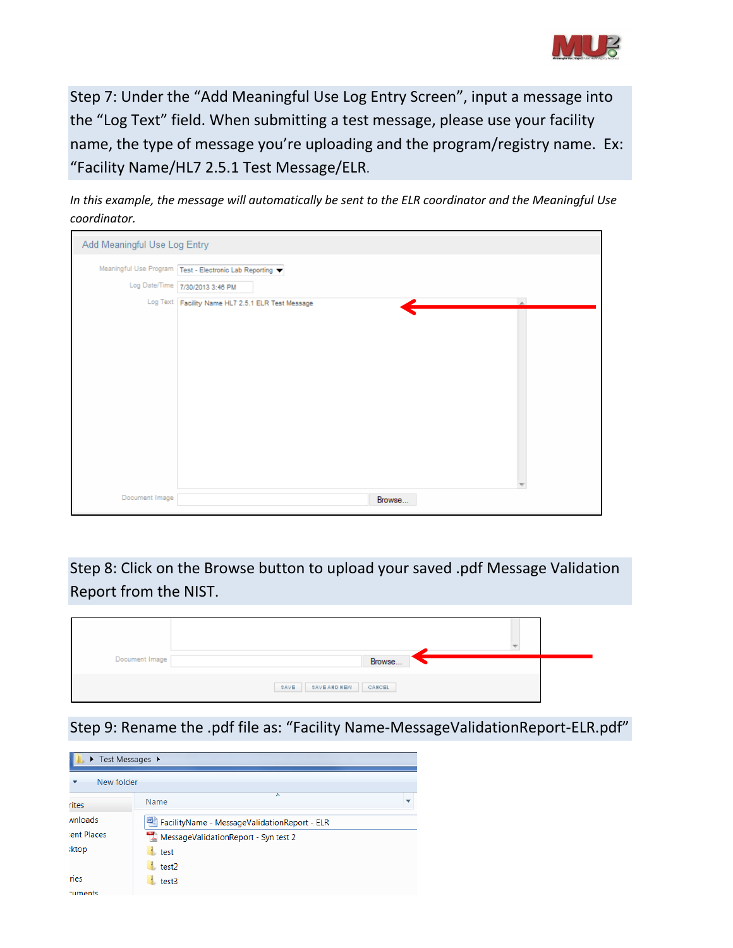

Step 7: Under the "Add Meaningful Use Log Entry Screen", input a message into the "Log Text" field. When submitting a test message, please use your facility name, the type of message you're uploading and the program/registry name. Ex: "Facility Name/HL7 2.5.1 Test Message/ELR.

*In this example, the message will automatically be sent to the ELR coordinator and the Meaningful Use coordinator.*

| Add Meaningful Use Log Entry |                                                        |
|------------------------------|--------------------------------------------------------|
|                              | Meaningful Use Program Test - Electronic Lab Reporting |
|                              | Log Date/Time 7/30/2013 3:46 PM                        |
|                              | Log Text Facility Name HL7 2.5.1 ELR Test Message      |
|                              |                                                        |
|                              |                                                        |
|                              |                                                        |
|                              |                                                        |
|                              |                                                        |
|                              |                                                        |
|                              |                                                        |
|                              |                                                        |
|                              |                                                        |
|                              |                                                        |
| Document Image               | Browse                                                 |

Step 8: Click on the Browse button to upload your saved .pdf Message Validation Report from the NIST.

| Document Image | Browse                 |
|----------------|------------------------|
|                | SAVE SAVEANDNEW CANCEL |

Step 9: Rename the .pdf file as: "Facility Name-MessageValidationReport-ELR.pdf"

|                         | $\triangleright$ Test Messages $\triangleright$ |  |  |  |  |
|-------------------------|-------------------------------------------------|--|--|--|--|
|                         | New folder                                      |  |  |  |  |
| rites                   | ∽<br>Name                                       |  |  |  |  |
| wnloads                 | FacilityName - MessageValidationReport - ELR    |  |  |  |  |
| ent Places              | MessageValidationReport - Syn test 2            |  |  |  |  |
| <b>ktop</b>             | test                                            |  |  |  |  |
|                         | test2                                           |  |  |  |  |
| ries                    | test3                                           |  |  |  |  |
| and the second contract |                                                 |  |  |  |  |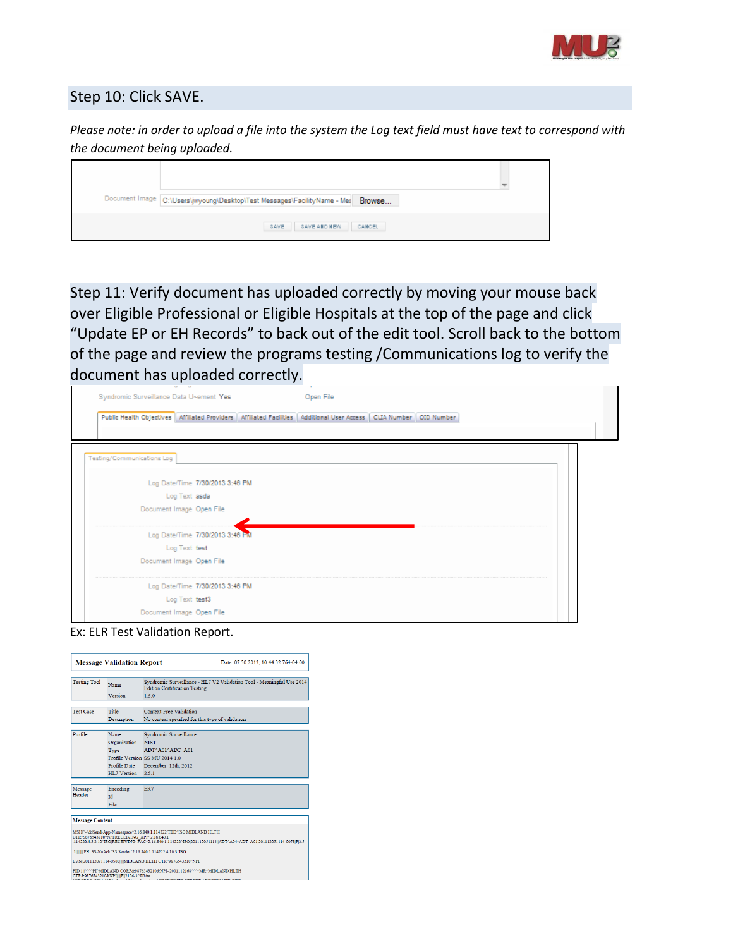

### Step 10: Click SAVE.

*Please note: in order to upload a file into the system the Log text field must have text to correspond with the document being uploaded.*

| Document Image C:\Users\jwyoung\Desktop\Test Messages\FacilityName - Mes Browse |  |
|---------------------------------------------------------------------------------|--|
| <b>SAVE AND NEW</b><br>CANCEL<br>SAVE                                           |  |

Step 11: Verify document has uploaded correctly by moving your mouse back over Eligible Professional or Eligible Hospitals at the top of the page and click "Update EP or EH Records" to back out of the edit tool. Scroll back to the bottom of the page and review the programs testing /Communications log to verify the document has uploaded correctly.

| Syndromic Surveillance Data U~ement Yes | Open File                                                                                                                   |  |
|-----------------------------------------|-----------------------------------------------------------------------------------------------------------------------------|--|
|                                         | Public Health Objectives   Affiliated Providers   Affiliated Facilities   Additional User Access   CLIA Number   OID Number |  |
|                                         |                                                                                                                             |  |
|                                         |                                                                                                                             |  |
| Testing/Communications Log              |                                                                                                                             |  |
| Log Date/Time 7/30/2013 3:46 PM         |                                                                                                                             |  |
| Log Text asda                           |                                                                                                                             |  |
| Document Image Open File                |                                                                                                                             |  |
| Log Date/Time 7/30/2013 3:46 PM         |                                                                                                                             |  |
| Log Text test                           |                                                                                                                             |  |
| Document Image Open File                |                                                                                                                             |  |
| Log Date/Time 7/30/2013 3:46 PM         |                                                                                                                             |  |
| Log Text test3                          |                                                                                                                             |  |
| Document Image Open File                |                                                                                                                             |  |

Ex: ELR Test Validation Report.

|                                                                                                                                                                                                                                   | <b>Message Validation Report</b> | Date: 07 30 2013, 10:44:32.764-04:00                                                                          |  |
|-----------------------------------------------------------------------------------------------------------------------------------------------------------------------------------------------------------------------------------|----------------------------------|---------------------------------------------------------------------------------------------------------------|--|
| <b>Testing Tool</b>                                                                                                                                                                                                               | Name                             | Syndromic Surveillance - HL7 V2 Validation Tool - Meaningful Use 2014<br><b>Edition Certification Testing</b> |  |
|                                                                                                                                                                                                                                   | Version                          | 1.5.0                                                                                                         |  |
| <b>Test Case</b>                                                                                                                                                                                                                  | Title                            | <b>Context-Free Validation</b>                                                                                |  |
|                                                                                                                                                                                                                                   | Description                      | No context specified for this type of validation                                                              |  |
| Profile                                                                                                                                                                                                                           | Name                             | Syndromic Surveillance                                                                                        |  |
|                                                                                                                                                                                                                                   | Organization                     | <b>NIST</b>                                                                                                   |  |
|                                                                                                                                                                                                                                   | Type                             | ADT^A01^ADT A01                                                                                               |  |
|                                                                                                                                                                                                                                   |                                  | Profile Version SS MU 2014 1.0                                                                                |  |
|                                                                                                                                                                                                                                   | Profile Date                     | December, 12th, 2012                                                                                          |  |
|                                                                                                                                                                                                                                   | HL7 Version                      | 2.51                                                                                                          |  |
| Message                                                                                                                                                                                                                           |                                  | ER7                                                                                                           |  |
| Header                                                                                                                                                                                                                            | Encoding<br><b>Id</b>            |                                                                                                               |  |
|                                                                                                                                                                                                                                   | File                             |                                                                                                               |  |
|                                                                                                                                                                                                                                   |                                  |                                                                                                               |  |
| <b>Message Content</b>                                                                                                                                                                                                            |                                  |                                                                                                               |  |
| MSHI^~\& Send-App-Namespace^2.16.840.1.114222.TBD^ISOMIDLAND HLTH<br>CTR^9876543210^NPIRECEIVING APP^2.16.840.1<br>.114222.4.3.2.10°ISOJRECEIVING FAC°2.16.840.1.114222°ISO 201112051114  ADT^A04^ADT A01 201112051114-0078 P[2.5 |                                  |                                                                                                               |  |
| .1 PH SS-NoAck^SS Sender^2.16.840.1.114222.4.10.3^ISO                                                                                                                                                                             |                                  |                                                                                                               |  |
| EVN  201112091114-0500    MIDLAND HLTH CTR^9876543210^NPI                                                                                                                                                                         |                                  |                                                                                                               |  |
| PIDI1#^^^PI^MIDLAND CORP&9876543210&NPI~2001112168^^^^MR^MIDLAND HLTH<br>CTR&9876543210&NPIIIIFI2106-3^White<br>SOBRO 3054 5453 3 3.81 3.8<br><b>CORCOUN STREET ADDRESSED OTH</b>                                                 |                                  |                                                                                                               |  |